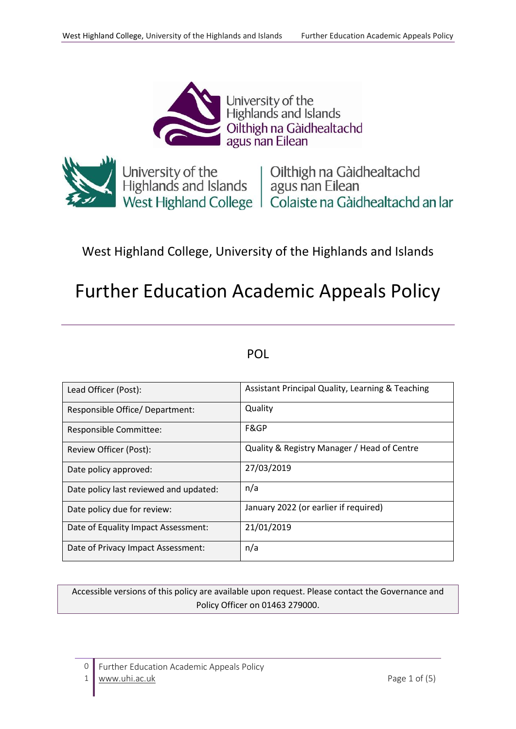

University of the<br>Highlands and Islands Oilthigh na Gàidhealtachd<br>agus nan Eilean



University of the University of the University of the Highlands and Islands and Islands agus nan Eilean<br>
University Highland College | Colaiste na Gàidhealtachd an Iar

# West Highland College, University of the Highlands and Islands

# Further Education Academic Appeals Policy

# POL

| Lead Officer (Post):                   | Assistant Principal Quality, Learning & Teaching |
|----------------------------------------|--------------------------------------------------|
| Responsible Office/ Department:        | Quality                                          |
| Responsible Committee:                 | F&GP                                             |
| Review Officer (Post):                 | Quality & Registry Manager / Head of Centre      |
| Date policy approved:                  | 27/03/2019                                       |
| Date policy last reviewed and updated: | n/a                                              |
| Date policy due for review:            | January 2022 (or earlier if required)            |
| Date of Equality Impact Assessment:    | 21/01/2019                                       |
| Date of Privacy Impact Assessment:     | n/a                                              |

Accessible versions of this policy are available upon request. Please contact the Governance and Policy Officer on 01463 279000.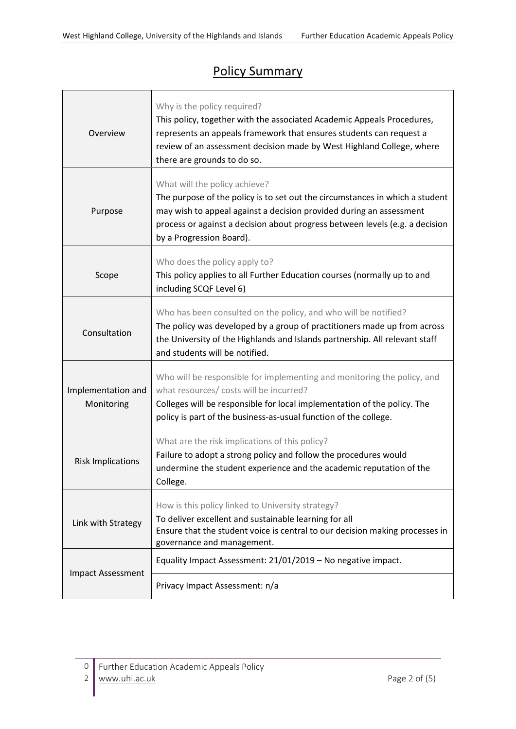# Policy Summary

| Overview                         | Why is the policy required?<br>This policy, together with the associated Academic Appeals Procedures,<br>represents an appeals framework that ensures students can request a<br>review of an assessment decision made by West Highland College, where<br>there are grounds to do so.             |  |
|----------------------------------|--------------------------------------------------------------------------------------------------------------------------------------------------------------------------------------------------------------------------------------------------------------------------------------------------|--|
| Purpose                          | What will the policy achieve?<br>The purpose of the policy is to set out the circumstances in which a student<br>may wish to appeal against a decision provided during an assessment<br>process or against a decision about progress between levels (e.g. a decision<br>by a Progression Board). |  |
| Scope                            | Who does the policy apply to?<br>This policy applies to all Further Education courses (normally up to and<br>including SCQF Level 6)                                                                                                                                                             |  |
| Consultation                     | Who has been consulted on the policy, and who will be notified?<br>The policy was developed by a group of practitioners made up from across<br>the University of the Highlands and Islands partnership. All relevant staff<br>and students will be notified.                                     |  |
| Implementation and<br>Monitoring | Who will be responsible for implementing and monitoring the policy, and<br>what resources/ costs will be incurred?<br>Colleges will be responsible for local implementation of the policy. The<br>policy is part of the business-as-usual function of the college.                               |  |
| <b>Risk Implications</b>         | What are the risk implications of this policy?<br>Failure to adopt a strong policy and follow the procedures would<br>undermine the student experience and the academic reputation of the<br>College.                                                                                            |  |
| Link with Strategy               | How is this policy linked to University strategy?<br>To deliver excellent and sustainable learning for all<br>Ensure that the student voice is central to our decision making processes in<br>governance and management.                                                                         |  |
| <b>Impact Assessment</b>         | Equality Impact Assessment: 21/01/2019 - No negative impact.                                                                                                                                                                                                                                     |  |
|                                  | Privacy Impact Assessment: n/a                                                                                                                                                                                                                                                                   |  |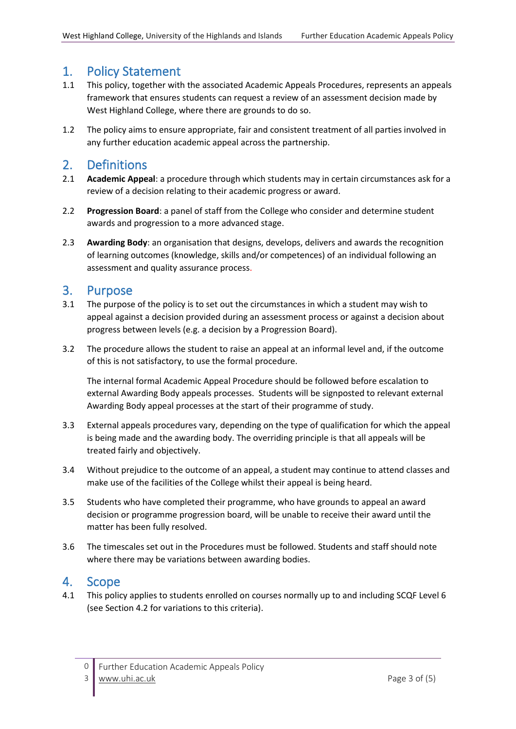## 1. Policy Statement

- 1.1 This policy, together with the associated Academic Appeals Procedures, represents an appeals framework that ensures students can request a review of an assessment decision made by West Highland College, where there are grounds to do so.
- 1.2 The policy aims to ensure appropriate, fair and consistent treatment of all parties involved in any further education academic appeal across the partnership.

### 2. Definitions

- 2.1 **Academic Appeal**: a procedure through which students may in certain circumstances ask for a review of a decision relating to their academic progress or award.
- 2.2 **Progression Board**: a panel of staff from the College who consider and determine student awards and progression to a more advanced stage.
- 2.3 **Awarding Body**: an organisation that designs, develops, delivers and awards the recognition of learning outcomes (knowledge, skills and/or competences) of an individual following an assessment and quality assurance process.

### 3. Purpose

- 3.1 The purpose of the policy is to set out the circumstances in which a student may wish to appeal against a decision provided during an assessment process or against a decision about progress between levels (e.g. a decision by a Progression Board).
- 3.2 The procedure allows the student to raise an appeal at an informal level and, if the outcome of this is not satisfactory, to use the formal procedure.

The internal formal Academic Appeal Procedure should be followed before escalation to external Awarding Body appeals processes. Students will be signposted to relevant external Awarding Body appeal processes at the start of their programme of study.

- 3.3 External appeals procedures vary, depending on the type of qualification for which the appeal is being made and the awarding body. The overriding principle is that all appeals will be treated fairly and objectively.
- 3.4 Without prejudice to the outcome of an appeal, a student may continue to attend classes and make use of the facilities of the College whilst their appeal is being heard.
- 3.5 Students who have completed their programme, who have grounds to appeal an award decision or programme progression board, will be unable to receive their award until the matter has been fully resolved.
- 3.6 The timescales set out in the Procedures must be followed. Students and staff should note where there may be variations between awarding bodies.

# 4. Scope

4.1 This policy applies to students enrolled on courses normally up to and including SCQF Level 6 (see Section 4.2 for variations to this criteria).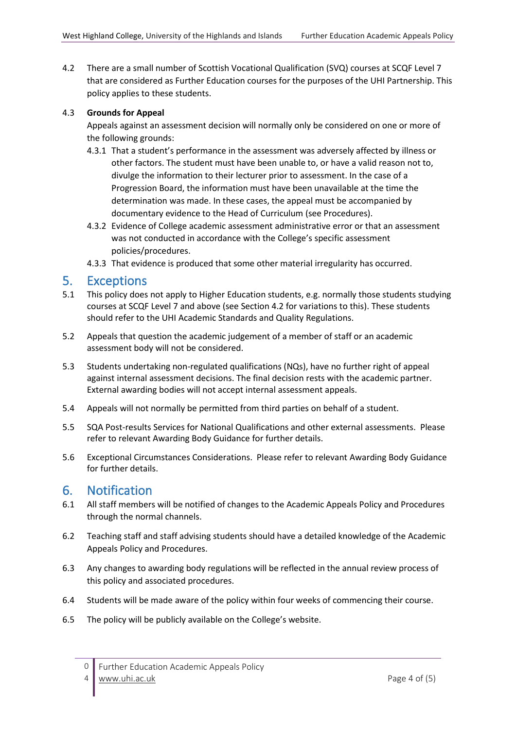4.2 There are a small number of Scottish Vocational Qualification (SVQ) courses at SCQF Level 7 that are considered as Further Education courses for the purposes of the UHI Partnership. This policy applies to these students.

#### 4.3 **Grounds for Appeal**

Appeals against an assessment decision will normally only be considered on one or more of the following grounds:

- 4.3.1 That a student's performance in the assessment was adversely affected by illness or other factors. The student must have been unable to, or have a valid reason not to, divulge the information to their lecturer prior to assessment. In the case of a Progression Board, the information must have been unavailable at the time the determination was made. In these cases, the appeal must be accompanied by documentary evidence to the Head of Curriculum (see Procedures).
- 4.3.2 Evidence of College academic assessment administrative error or that an assessment was not conducted in accordance with the College's specific assessment policies/procedures.
- 4.3.3 That evidence is produced that some other material irregularity has occurred.

#### 5. Exceptions

- 5.1 This policy does not apply to Higher Education students, e.g. normally those students studying courses at SCQF Level 7 and above (see Section 4.2 for variations to this). These students should refer to the UHI Academic Standards and Quality Regulations.
- 5.2 Appeals that question the academic judgement of a member of staff or an academic assessment body will not be considered.
- 5.3 Students undertaking non-regulated qualifications (NQs), have no further right of appeal against internal assessment decisions. The final decision rests with the academic partner. External awarding bodies will not accept internal assessment appeals.
- 5.4 Appeals will not normally be permitted from third parties on behalf of a student.
- 5.5 SQA Post-results Services for National Qualifications and other external assessments. Please refer to relevant Awarding Body Guidance for further details.
- 5.6 Exceptional Circumstances Considerations. Please refer to relevant Awarding Body Guidance for further details.

### 6. Notification

- 6.1 All staff members will be notified of changes to the Academic Appeals Policy and Procedures through the normal channels.
- 6.2 Teaching staff and staff advising students should have a detailed knowledge of the Academic Appeals Policy and Procedures.
- 6.3 Any changes to awarding body regulations will be reflected in the annual review process of this policy and associated procedures.
- 6.4 Students will be made aware of the policy within four weeks of commencing their course.
- 6.5 The policy will be publicly available on the College's website.